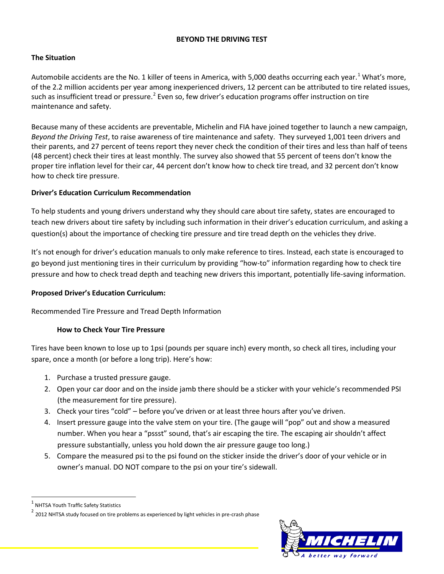## **BEYOND THE DRIVING TEST**

## **The Situation**

Automobile accidents are the No. [1](#page-0-0) killer of teens in America, with 5,000 deaths occurring each year.<sup>1</sup> What's more, of the 2.2 million accidents per year among inexperienced drivers, 12 percent can be attributed to tire related issues, such as insufficient tread or pressure.<sup>[2](#page-0-1)</sup> Even so, few driver's education programs offer instruction on tire maintenance and safety.

Because many of these accidents are preventable, Michelin and FIA have joined together to launch a new campaign, *Beyond the Driving Test*, to raise awareness of tire maintenance and safety. They surveyed 1,001 teen drivers and their parents, and 27 percent of teens report they never check the condition of their tires and less than half of teens (48 percent) check their tires at least monthly. The survey also showed that 55 percent of teens don't know the proper tire inflation level for their car, 44 percent don't know how to check tire tread, and 32 percent don't know how to check tire pressure.

## **Driver's Education Curriculum Recommendation**

To help students and young drivers understand why they should care about tire safety, states are encouraged to teach new drivers about tire safety by including such information in their driver's education curriculum, and asking a question(s) about the importance of checking tire pressure and tire tread depth on the vehicles they drive.

It's not enough for driver's education manuals to only make reference to tires. Instead, each state is encouraged to go beyond just mentioning tires in their curriculum by providing "how-to" information regarding how to check tire pressure and how to check tread depth and teaching new drivers this important, potentially life-saving information.

#### **Proposed Driver's Education Curriculum:**

Recommended Tire Pressure and Tread Depth Information

#### **How to Check Your Tire Pressure**

Tires have been known to lose up to 1psi (pounds per square inch) every month, so check all tires, including your spare, once a month (or before a long trip). Here's how:

- 1. Purchase a trusted pressure gauge.
- 2. Open your car door and on the inside jamb there should be a sticker with your vehicle's recommended PSI (the measurement for tire pressure).
- 3. Check your tires "cold" before you've driven or at least three hours after you've driven.
- 4. Insert pressure gauge into the valve stem on your tire. (The gauge will "pop" out and show a measured number. When you hear a "pssst" sound, that's air escaping the tire. The escaping air shouldn't affect pressure substantially, unless you hold down the air pressure gauge too long.)
- 5. Compare the measured psi to the psi found on the sticker inside the driver's door of your vehicle or in owner's manual. DO NOT compare to the psi on your tire's sidewall.

<span id="page-0-1"></span> $2$  2012 NHTSA study focused on tire problems as experienced by light vehicles in pre-crash phase



<span id="page-0-0"></span> $<sup>1</sup>$  NHTSA Youth Traffic Safety Statistics</sup>